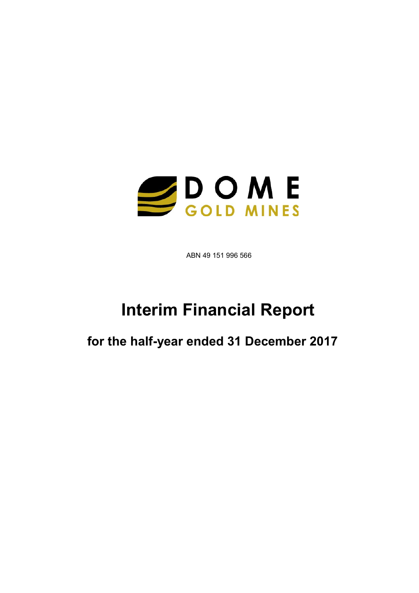

ABN 49 151 996 566

# Interim Financial Report

for the half-year ended 31 December 2017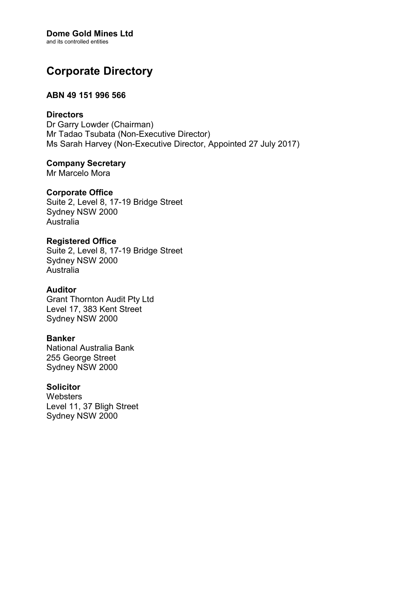# Dome Gold Mines Ltd

and its controlled entities

# Corporate Directory

### ABN 49 151 996 566

### **Directors**

Dr Garry Lowder (Chairman) Mr Tadao Tsubata (Non-Executive Director) Ms Sarah Harvey (Non-Executive Director, Appointed 27 July 2017)

## Company Secretary

Mr Marcelo Mora

### Corporate Office

Suite 2, Level 8, 17-19 Bridge Street Sydney NSW 2000 Australia

### Registered Office

Suite 2, Level 8, 17-19 Bridge Street Sydney NSW 2000 Australia

### Auditor

Grant Thornton Audit Pty Ltd Level 17, 383 Kent Street Sydney NSW 2000

### Banker

National Australia Bank 255 George Street Sydney NSW 2000

### **Solicitor**

**Websters** Level 11, 37 Bligh Street Sydney NSW 2000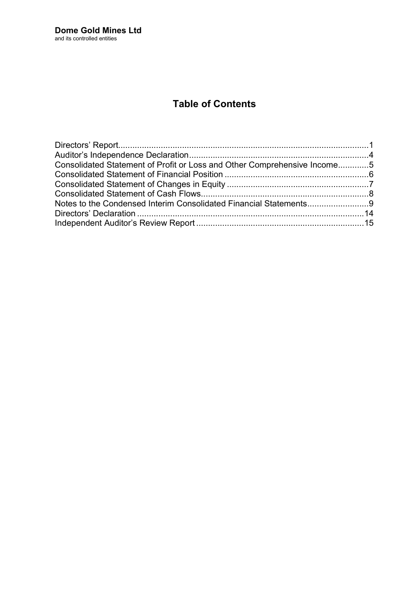# Table of Contents

| Consolidated Statement of Profit or Loss and Other Comprehensive Income5 |  |
|--------------------------------------------------------------------------|--|
|                                                                          |  |
|                                                                          |  |
|                                                                          |  |
|                                                                          |  |
|                                                                          |  |
|                                                                          |  |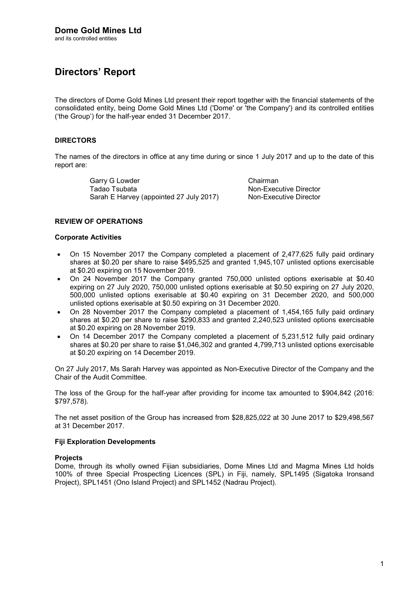# Directors' Report

The directors of Dome Gold Mines Ltd present their report together with the financial statements of the consolidated entity, being Dome Gold Mines Ltd ('Dome' or 'the Company') and its controlled entities ('the Group') for the half-year ended 31 December 2017.

### DIRECTORS

The names of the directors in office at any time during or since 1 July 2017 and up to the date of this report are:

> Garry G Lowder Chairman Tadao Tsubata Non-Executive Director Sarah E Harvey (appointed 27 July 2017) Non-Executive Director

### REVIEW OF OPERATIONS

#### Corporate Activities

- On 15 November 2017 the Company completed a placement of 2,477,625 fully paid ordinary shares at \$0.20 per share to raise \$495,525 and granted 1,945,107 unlisted options exercisable at \$0.20 expiring on 15 November 2019.
- On 24 November 2017 the Company granted 750,000 unlisted options exerisable at \$0.40 expiring on 27 July 2020, 750,000 unlisted options exerisable at \$0.50 expiring on 27 July 2020, 500,000 unlisted options exerisable at \$0.40 expiring on 31 December 2020, and 500,000 unlisted options exerisable at \$0.50 expiring on 31 December 2020.
- On 28 November 2017 the Company completed a placement of 1,454,165 fully paid ordinary shares at \$0.20 per share to raise \$290,833 and granted 2,240,523 unlisted options exercisable at \$0.20 expiring on 28 November 2019.
- On 14 December 2017 the Company completed a placement of 5,231,512 fully paid ordinary shares at \$0.20 per share to raise \$1,046,302 and granted 4,799,713 unlisted options exercisable at \$0.20 expiring on 14 December 2019.

On 27 July 2017, Ms Sarah Harvey was appointed as Non-Executive Director of the Company and the Chair of the Audit Committee.

The loss of the Group for the half-year after providing for income tax amounted to \$904,842 (2016: \$797,578).

The net asset position of the Group has increased from \$28,825,022 at 30 June 2017 to \$29,498,567 at 31 December 2017.

### Fiji Exploration Developments

#### **Projects**

Dome, through its wholly owned Fijian subsidiaries, Dome Mines Ltd and Magma Mines Ltd holds 100% of three Special Prospecting Licences (SPL) in Fiji, namely, SPL1495 (Sigatoka Ironsand Project), SPL1451 (Ono Island Project) and SPL1452 (Nadrau Project).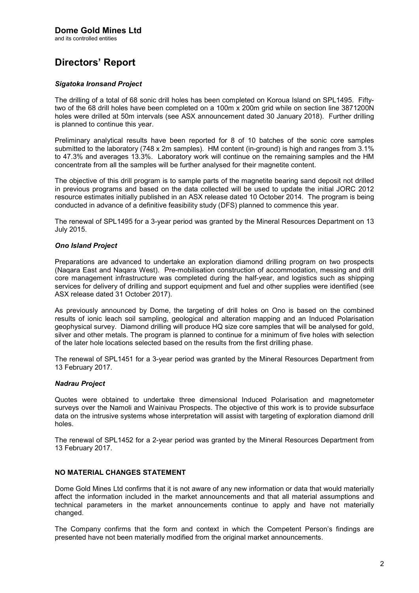# Directors' Report

### Sigatoka Ironsand Project

The drilling of a total of 68 sonic drill holes has been completed on Koroua Island on SPL1495. Fiftytwo of the 68 drill holes have been completed on a 100m x 200m grid while on section line 3871200N holes were drilled at 50m intervals (see ASX announcement dated 30 January 2018). Further drilling is planned to continue this year.

Preliminary analytical results have been reported for 8 of 10 batches of the sonic core samples submitted to the laboratory (748 x 2m samples). HM content (in-ground) is high and ranges from 3.1% to 47.3% and averages 13.3%. Laboratory work will continue on the remaining samples and the HM concentrate from all the samples will be further analysed for their magnetite content.

The objective of this drill program is to sample parts of the magnetite bearing sand deposit not drilled in previous programs and based on the data collected will be used to update the initial JORC 2012 resource estimates initially published in an ASX release dated 10 October 2014. The program is being conducted in advance of a definitive feasibility study (DFS) planned to commence this year.

The renewal of SPL1495 for a 3-year period was granted by the Mineral Resources Department on 13 July 2015.

### Ono Island Project

Preparations are advanced to undertake an exploration diamond drilling program on two prospects (Naqara East and Naqara West). Pre-mobilisation construction of accommodation, messing and drill core management infrastructure was completed during the half-year, and logistics such as shipping services for delivery of drilling and support equipment and fuel and other supplies were identified (see ASX release dated 31 October 2017).

As previously announced by Dome, the targeting of drill holes on Ono is based on the combined results of ionic leach soil sampling, geological and alteration mapping and an Induced Polarisation geophysical survey. Diamond drilling will produce HQ size core samples that will be analysed for gold, silver and other metals. The program is planned to continue for a minimum of five holes with selection of the later hole locations selected based on the results from the first drilling phase.

The renewal of SPL1451 for a 3-year period was granted by the Mineral Resources Department from 13 February 2017.

### Nadrau Project

Quotes were obtained to undertake three dimensional Induced Polarisation and magnetometer surveys over the Namoli and Wainivau Prospects. The objective of this work is to provide subsurface data on the intrusive systems whose interpretation will assist with targeting of exploration diamond drill holes.

The renewal of SPL1452 for a 2-year period was granted by the Mineral Resources Department from 13 February 2017.

### NO MATERIAL CHANGES STATEMENT

Dome Gold Mines Ltd confirms that it is not aware of any new information or data that would materially affect the information included in the market announcements and that all material assumptions and technical parameters in the market announcements continue to apply and have not materially changed.

The Company confirms that the form and context in which the Competent Person's findings are presented have not been materially modified from the original market announcements.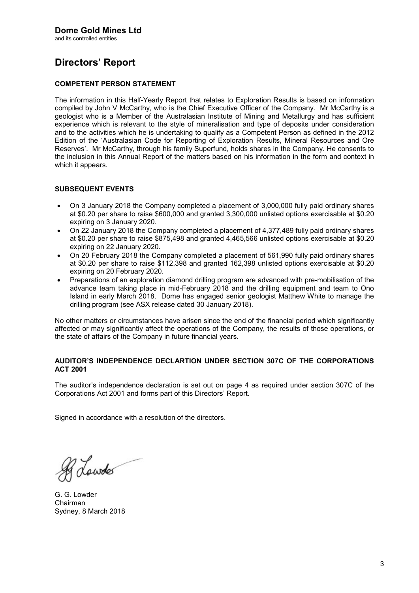and its controlled entities

# Directors' Report

### COMPETENT PERSON STATEMENT

The information in this Half-Yearly Report that relates to Exploration Results is based on information compiled by John V McCarthy, who is the Chief Executive Officer of the Company. Mr McCarthy is a geologist who is a Member of the Australasian Institute of Mining and Metallurgy and has sufficient experience which is relevant to the style of mineralisation and type of deposits under consideration and to the activities which he is undertaking to qualify as a Competent Person as defined in the 2012 Edition of the 'Australasian Code for Reporting of Exploration Results, Mineral Resources and Ore Reserves'. Mr McCarthy, through his family Superfund, holds shares in the Company. He consents to the inclusion in this Annual Report of the matters based on his information in the form and context in which it appears.

### SUBSEQUENT EVENTS

- On 3 January 2018 the Company completed a placement of 3,000,000 fully paid ordinary shares at \$0.20 per share to raise \$600,000 and granted 3,300,000 unlisted options exercisable at \$0.20 expiring on 3 January 2020.
- On 22 January 2018 the Company completed a placement of 4,377,489 fully paid ordinary shares at \$0.20 per share to raise \$875,498 and granted 4,465,566 unlisted options exercisable at \$0.20 expiring on 22 January 2020.
- On 20 February 2018 the Company completed a placement of 561,990 fully paid ordinary shares at \$0.20 per share to raise \$112,398 and granted 162,398 unlisted options exercisable at \$0.20 expiring on 20 February 2020.
- Preparations of an exploration diamond drilling program are advanced with pre-mobilisation of the advance team taking place in mid-February 2018 and the drilling equipment and team to Ono Island in early March 2018. Dome has engaged senior geologist Matthew White to manage the drilling program (see ASX release dated 30 January 2018).

No other matters or circumstances have arisen since the end of the financial period which significantly affected or may significantly affect the operations of the Company, the results of those operations, or the state of affairs of the Company in future financial years.

#### AUDITOR'S INDEPENDENCE DECLARTION UNDER SECTION 307C OF THE CORPORATIONS ACT 2001

The auditor's independence declaration is set out on page 4 as required under section 307C of the Corporations Act 2001 and forms part of this Directors' Report.

Signed in accordance with a resolution of the directors.

R Lowdes

G. G. Lowder Chairman Sydney, 8 March 2018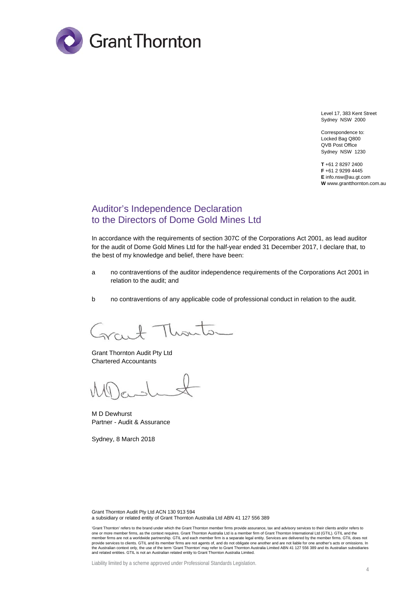

Level 17, 383 Kent Street Sydney NSW 2000

Correspondence to: Locked Bag Q800 QVB Post Office Sydney NSW 1230

**T** +61 2 8297 2400 **F** +61 2 9299 4445 **E** info.nsw@au.gt.com **W** www.grantthornton.com.au

### Auditor's Independence Declaration to the Directors of Dome Gold Mines Ltd

In accordance with the requirements of section 307C of the Corporations Act 2001, as lead auditor for the audit of Dome Gold Mines Ltd for the half-year ended 31 December 2017, I declare that, to the best of my knowledge and belief, there have been:

- a no contraventions of the auditor independence requirements of the Corporations Act 2001 in relation to the audit; and
- b no contraventions of any applicable code of professional conduct in relation to the audit.

 $\mathbb{L}$  $\prod_{k\in\mathbb{Z}}$ 

Grant Thornton Audit Pty Ltd Chartered Accountants

M D Dewhurst Partner - Audit & Assurance

Sydney, 8 March 2018

Grant Thornton Audit Pty Ltd ACN 130 913 594 a subsidiary or related entity of Grant Thornton Australia Ltd ABN 41 127 556 389

<sup>&#</sup>x27;Grant Thornton' refers to the brand under which the Grant Thornton member firms provide assurance, tax and advisory services to their clients and/or refers to one or more member firms, as the context requires. Grant Thornton Australia Ltd is a member firm of Grant Thornton International Ltd (GTIL). GTIL and the member firms are not a worldwide partnership. GTIL and each member firm is a separate legal entity. Services are delivered by the member firms. GTIL does not provide services to clients. GTIL and its member firms are not agents of, and do not obligate one another and are not liable for one another's acts or omissions. In<br>the Australian context only, the use of the term 'Grant T and related entities. GTIL is not an Australian related entity to Grant Thornton Australia Limited.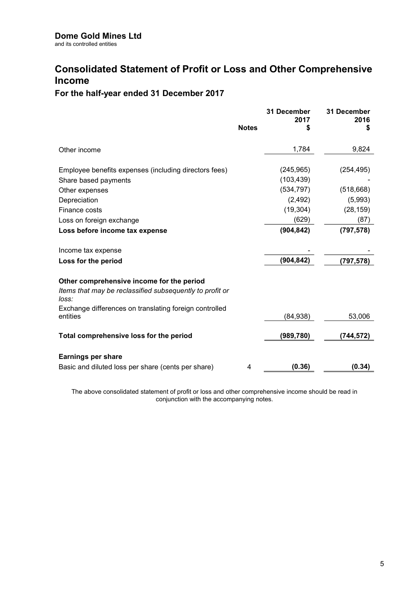## Consolidated Statement of Profit or Loss and Other Comprehensive Income

### For the half-year ended 31 December 2017

|                                                                    | <b>Notes</b> | 31 December<br>2017<br>\$ | 31 December<br>2016<br>S |
|--------------------------------------------------------------------|--------------|---------------------------|--------------------------|
|                                                                    |              |                           |                          |
| Other income                                                       |              | 1,784                     | 9,824                    |
| Employee benefits expenses (including directors fees)              |              | (245, 965)                | (254, 495)               |
| Share based payments                                               |              | (103, 439)                |                          |
| Other expenses                                                     |              | (534, 797)                | (518, 668)               |
| Depreciation                                                       |              | (2, 492)                  | (5,993)                  |
| Finance costs                                                      |              | (19, 304)                 | (28, 159)                |
| Loss on foreign exchange                                           |              | (629)                     | (87)                     |
| Loss before income tax expense                                     |              | (904, 842)                | (797, 578)               |
| Income tax expense                                                 |              |                           |                          |
| Loss for the period                                                |              | (904, 842)                | (797, 578)               |
| Other comprehensive income for the period                          |              |                           |                          |
| Items that may be reclassified subsequently to profit or<br>loss:  |              |                           |                          |
| Exchange differences on translating foreign controlled<br>entities |              | (84, 938)                 | 53,006                   |
| Total comprehensive loss for the period                            |              | (989, 780)                | (744,572)                |
| <b>Earnings per share</b>                                          |              |                           |                          |
| Basic and diluted loss per share (cents per share)                 | 4            | (0.36)                    | (0.34)                   |

The above consolidated statement of profit or loss and other comprehensive income should be read in conjunction with the accompanying notes.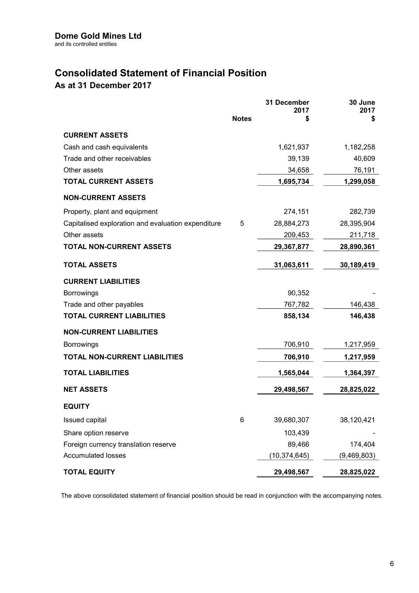# Consolidated Statement of Financial Position

As at 31 December 2017

|                                                    | <b>Notes</b> | 31 December<br>2017<br>\$ | 30 June<br>2017<br>\$ |
|----------------------------------------------------|--------------|---------------------------|-----------------------|
| <b>CURRENT ASSETS</b>                              |              |                           |                       |
| Cash and cash equivalents                          |              | 1,621,937                 | 1,182,258             |
| Trade and other receivables                        |              | 39,139                    | 40,609                |
| Other assets                                       |              | 34,658                    | 76,191                |
| <b>TOTAL CURRENT ASSETS</b>                        |              | 1,695,734                 | 1,299,058             |
| <b>NON-CURRENT ASSETS</b>                          |              |                           |                       |
| Property, plant and equipment                      |              | 274,151                   | 282,739               |
| Capitalised exploration and evaluation expenditure | 5            | 28,884,273                | 28,395,904            |
| Other assets                                       |              | 209,453                   | 211,718               |
| <b>TOTAL NON-CURRENT ASSETS</b>                    |              | 29,367,877                | 28,890,361            |
| <b>TOTAL ASSETS</b>                                |              | 31,063,611                | 30,189,419            |
| <b>CURRENT LIABILITIES</b>                         |              |                           |                       |
| <b>Borrowings</b>                                  |              | 90,352                    |                       |
| Trade and other payables                           |              | 767,782                   | 146,438               |
| <b>TOTAL CURRENT LIABILITIES</b>                   |              | 858,134                   | 146,438               |
| <b>NON-CURRENT LIABILITIES</b>                     |              |                           |                       |
| <b>Borrowings</b>                                  |              | 706,910                   | 1,217,959             |
| <b>TOTAL NON-CURRENT LIABILITIES</b>               |              | 706,910                   | 1,217,959             |
| <b>TOTAL LIABILITIES</b>                           |              | 1,565,044                 | 1,364,397             |
| <b>NET ASSETS</b>                                  |              | 29,498,567                | 28,825,022            |
| <b>EQUITY</b>                                      |              |                           |                       |
| Issued capital                                     | 6            | 39,680,307                | 38,120,421            |
| Share option reserve                               |              | 103,439                   |                       |
| Foreign currency translation reserve               |              | 89,466                    | 174,404               |
| <b>Accumulated losses</b>                          |              | (10, 374, 645)            | (9,469,803)           |
| <b>TOTAL EQUITY</b>                                |              | 29,498,567                | 28,825,022            |

The above consolidated statement of financial position should be read in conjunction with the accompanying notes.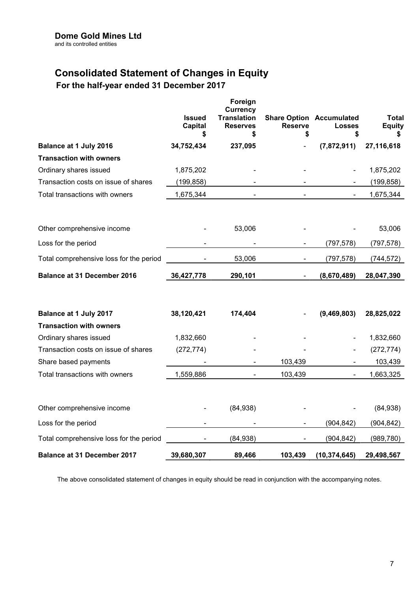# Consolidated Statement of Changes in Equity

### For the half-year ended 31 December 2017

|                                                                | <b>Issued</b><br><b>Capital</b><br>S | Foreign<br><b>Currency</b><br><b>Translation</b><br><b>Reserves</b><br>S | <b>Reserve</b><br>S | <b>Share Option Accumulated</b><br><b>Losses</b><br>S | <b>Total</b><br><b>Equity</b><br>S |
|----------------------------------------------------------------|--------------------------------------|--------------------------------------------------------------------------|---------------------|-------------------------------------------------------|------------------------------------|
| Balance at 1 July 2016                                         | 34,752,434                           | 237,095                                                                  |                     | (7,872,911)                                           | 27,116,618                         |
| <b>Transaction with owners</b>                                 |                                      |                                                                          |                     |                                                       |                                    |
| Ordinary shares issued                                         | 1,875,202                            |                                                                          |                     |                                                       | 1,875,202                          |
| Transaction costs on issue of shares                           | (199, 858)                           |                                                                          |                     |                                                       | (199, 858)                         |
| Total transactions with owners                                 | 1,675,344                            |                                                                          |                     |                                                       | 1,675,344                          |
| Other comprehensive income                                     |                                      | 53,006                                                                   |                     |                                                       | 53,006                             |
| Loss for the period                                            |                                      |                                                                          |                     | (797, 578)                                            | (797, 578)                         |
| Total comprehensive loss for the period                        |                                      | 53,006                                                                   |                     | (797, 578)                                            | (744, 572)                         |
| <b>Balance at 31 December 2016</b>                             | 36,427,778                           | 290,101                                                                  | $\blacksquare$      | (8,670,489)                                           | 28,047,390                         |
| Balance at 1 July 2017                                         | 38,120,421                           | 174,404                                                                  |                     | (9,469,803)                                           | 28,825,022                         |
| <b>Transaction with owners</b>                                 |                                      |                                                                          |                     |                                                       |                                    |
| Ordinary shares issued<br>Transaction costs on issue of shares | 1,832,660<br>(272, 774)              |                                                                          |                     |                                                       | 1,832,660<br>(272, 774)            |
| Share based payments                                           |                                      |                                                                          | 103,439             |                                                       | 103,439                            |
| Total transactions with owners                                 | 1,559,886                            |                                                                          | 103,439             |                                                       | 1,663,325                          |
| Other comprehensive income                                     |                                      | (84,938)                                                                 |                     |                                                       | (84, 938)                          |
| Loss for the period                                            |                                      |                                                                          |                     | (904, 842)                                            | (904, 842)                         |
| Total comprehensive loss for the period                        |                                      | (84,938)                                                                 |                     | (904, 842)                                            | (989, 780)                         |
| <b>Balance at 31 December 2017</b>                             | 39,680,307                           | 89,466                                                                   | 103,439             | (10, 374, 645)                                        | 29,498,567                         |

The above consolidated statement of changes in equity should be read in conjunction with the accompanying notes.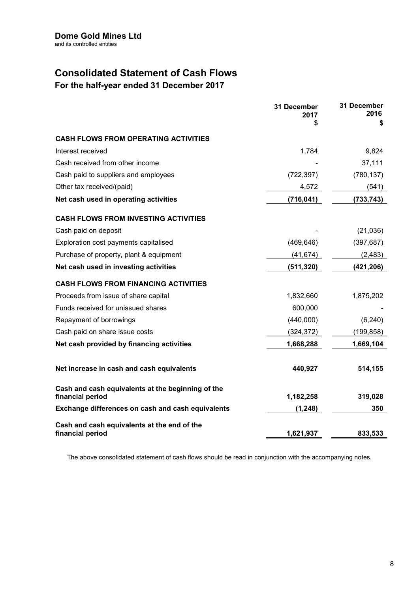# Consolidated Statement of Cash Flows

For the half-year ended 31 December 2017

|                                                                       | 31 December<br>2017<br>\$ | 31 December<br>2016<br>\$ |
|-----------------------------------------------------------------------|---------------------------|---------------------------|
| <b>CASH FLOWS FROM OPERATING ACTIVITIES</b>                           |                           |                           |
| Interest received                                                     | 1,784                     | 9,824                     |
| Cash received from other income                                       |                           | 37,111                    |
| Cash paid to suppliers and employees                                  | (722, 397)                | (780, 137)                |
| Other tax received/(paid)                                             | 4,572                     | (541)                     |
| Net cash used in operating activities                                 | (716, 041)                | (733, 743)                |
| <b>CASH FLOWS FROM INVESTING ACTIVITIES</b>                           |                           |                           |
| Cash paid on deposit                                                  |                           | (21,036)                  |
| Exploration cost payments capitalised                                 | (469, 646)                | (397, 687)                |
| Purchase of property, plant & equipment                               | (41, 674)                 | (2, 483)                  |
| Net cash used in investing activities                                 | (511, 320)                | (421, 206)                |
| <b>CASH FLOWS FROM FINANCING ACTIVITIES</b>                           |                           |                           |
| Proceeds from issue of share capital                                  | 1,832,660                 | 1,875,202                 |
| Funds received for unissued shares                                    | 600,000                   |                           |
| Repayment of borrowings                                               | (440,000)                 | (6, 240)                  |
| Cash paid on share issue costs                                        | (324, 372)                | (199, 858)                |
| Net cash provided by financing activities                             | 1,668,288                 | 1,669,104                 |
| Net increase in cash and cash equivalents                             | 440,927                   | 514,155                   |
| Cash and cash equivalents at the beginning of the<br>financial period | 1,182,258                 | 319,028                   |
| Exchange differences on cash and cash equivalents                     | (1, 248)                  | 350                       |
| Cash and cash equivalents at the end of the<br>financial period       | 1,621,937                 | 833,533                   |

The above consolidated statement of cash flows should be read in conjunction with the accompanying notes.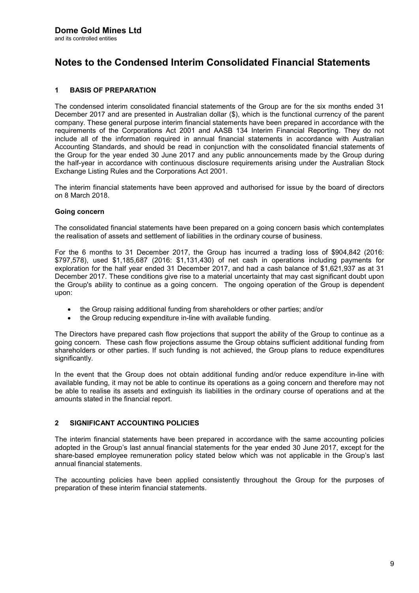### 1 BASIS OF PREPARATION

The condensed interim consolidated financial statements of the Group are for the six months ended 31 December 2017 and are presented in Australian dollar (\$), which is the functional currency of the parent company. These general purpose interim financial statements have been prepared in accordance with the requirements of the Corporations Act 2001 and AASB 134 Interim Financial Reporting. They do not include all of the information required in annual financial statements in accordance with Australian Accounting Standards, and should be read in conjunction with the consolidated financial statements of the Group for the year ended 30 June 2017 and any public announcements made by the Group during the half-year in accordance with continuous disclosure requirements arising under the Australian Stock Exchange Listing Rules and the Corporations Act 2001.

The interim financial statements have been approved and authorised for issue by the board of directors on 8 March 2018.

#### Going concern

The consolidated financial statements have been prepared on a going concern basis which contemplates the realisation of assets and settlement of liabilities in the ordinary course of business.

For the 6 months to 31 December 2017, the Group has incurred a trading loss of \$904,842 (2016: \$797,578), used \$1,185,687 (2016: \$1,131,430) of net cash in operations including payments for exploration for the half year ended 31 December 2017, and had a cash balance of \$1,621,937 as at 31 December 2017. These conditions give rise to a material uncertainty that may cast significant doubt upon the Group's ability to continue as a going concern. The ongoing operation of the Group is dependent upon:

- the Group raising additional funding from shareholders or other parties; and/or
- the Group reducing expenditure in-line with available funding.

The Directors have prepared cash flow projections that support the ability of the Group to continue as a going concern. These cash flow projections assume the Group obtains sufficient additional funding from shareholders or other parties. If such funding is not achieved, the Group plans to reduce expenditures significantly.

In the event that the Group does not obtain additional funding and/or reduce expenditure in-line with available funding, it may not be able to continue its operations as a going concern and therefore may not be able to realise its assets and extinguish its liabilities in the ordinary course of operations and at the amounts stated in the financial report.

### 2 SIGNIFICANT ACCOUNTING POLICIES

The interim financial statements have been prepared in accordance with the same accounting policies adopted in the Group's last annual financial statements for the year ended 30 June 2017, except for the share-based employee remuneration policy stated below which was not applicable in the Group's last annual financial statements.

The accounting policies have been applied consistently throughout the Group for the purposes of preparation of these interim financial statements.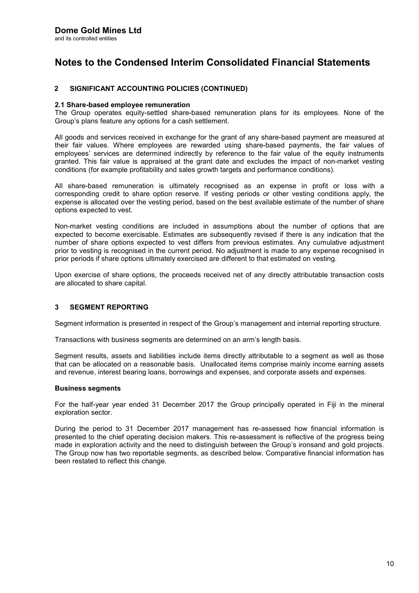### 2 SIGNIFICANT ACCOUNTING POLICIES (CONTINUED)

#### 2.1 Share-based employee remuneration

The Group operates equity-settled share-based remuneration plans for its employees. None of the Group's plans feature any options for a cash settlement.

All goods and services received in exchange for the grant of any share-based payment are measured at their fair values. Where employees are rewarded using share-based payments, the fair values of employees' services are determined indirectly by reference to the fair value of the equity instruments granted. This fair value is appraised at the grant date and excludes the impact of non-market vesting conditions (for example profitability and sales growth targets and performance conditions).

All share-based remuneration is ultimately recognised as an expense in profit or loss with a corresponding credit to share option reserve. If vesting periods or other vesting conditions apply, the expense is allocated over the vesting period, based on the best available estimate of the number of share options expected to vest.

Non-market vesting conditions are included in assumptions about the number of options that are expected to become exercisable. Estimates are subsequently revised if there is any indication that the number of share options expected to vest differs from previous estimates. Any cumulative adjustment prior to vesting is recognised in the current period. No adjustment is made to any expense recognised in prior periods if share options ultimately exercised are different to that estimated on vesting.

Upon exercise of share options, the proceeds received net of any directly attributable transaction costs are allocated to share capital.

### 3 SEGMENT REPORTING

Segment information is presented in respect of the Group's management and internal reporting structure.

Transactions with business segments are determined on an arm's length basis.

Segment results, assets and liabilities include items directly attributable to a segment as well as those that can be allocated on a reasonable basis. Unallocated items comprise mainly income earning assets and revenue, interest bearing loans, borrowings and expenses, and corporate assets and expenses.

#### Business segments

For the half-year year ended 31 December 2017 the Group principally operated in Fiji in the mineral exploration sector.

During the period to 31 December 2017 management has re-assessed how financial information is presented to the chief operating decision makers. This re-assessment is reflective of the progress being made in exploration activity and the need to distinguish between the Group's ironsand and gold projects. The Group now has two reportable segments, as described below. Comparative financial information has been restated to reflect this change.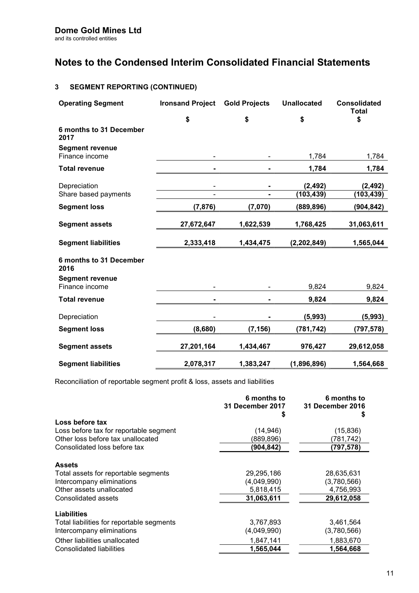### 3 SEGMENT REPORTING (CONTINUED)

| <b>Operating Segment</b>                 | <b>Ironsand Project</b> | <b>Gold Projects</b> | <b>Unallocated</b>     | <b>Consolidated</b><br><b>Total</b> |
|------------------------------------------|-------------------------|----------------------|------------------------|-------------------------------------|
|                                          | \$                      | \$                   | \$                     | \$                                  |
| 6 months to 31 December<br>2017          |                         |                      |                        |                                     |
| <b>Segment revenue</b><br>Finance income | ۰                       |                      | 1,784                  | 1,784                               |
| <b>Total revenue</b>                     |                         |                      | 1,784                  | 1,784                               |
| Depreciation<br>Share based payments     |                         |                      | (2, 492)<br>(103, 439) | (2, 492)<br>(103,439)               |
| <b>Segment loss</b>                      | (7, 876)                | (7,070)              | (889,896)              | (904, 842)                          |
| <b>Segment assets</b>                    | 27,672,647              | 1,622,539            | 1,768,425              | 31,063,611                          |
| <b>Segment liabilities</b>               | 2,333,418               | 1,434,475            | (2, 202, 849)          | 1,565,044                           |
| 6 months to 31 December<br>2016          |                         |                      |                        |                                     |
| <b>Segment revenue</b><br>Finance income |                         |                      | 9,824                  | 9,824                               |
| <b>Total revenue</b>                     |                         |                      | 9,824                  | 9,824                               |
| Depreciation                             |                         |                      | (5,993)                | (5,993)                             |
| <b>Segment loss</b>                      | (8,680)                 | (7, 156)             | (781,742)              | (797,578)                           |
| <b>Segment assets</b>                    | 27,201,164              | 1,434,467            | 976,427                | 29,612,058                          |
| <b>Segment liabilities</b>               | 2,078,317               | 1,383,247            | (1,896,896)            | 1,564,668                           |

Reconciliation of reportable segment profit & loss, assets and liabilities

|                                           | 6 months to<br>31 December 2017<br>S | 6 months to<br>31 December 2016<br>S |
|-------------------------------------------|--------------------------------------|--------------------------------------|
| Loss before tax                           |                                      |                                      |
| Loss before tax for reportable segment    | (14,946)                             | (15, 836)                            |
| Other loss before tax unallocated         | (889,896)                            | (781,742)                            |
| Consolidated loss before tax              | (904, 842)                           | (797,578)                            |
| <b>Assets</b>                             |                                      |                                      |
| Total assets for reportable segments      | 29,295,186                           | 28,635,631                           |
| Intercompany eliminations                 | (4,049,990)                          | (3,780,566)                          |
| Other assets unallocated                  | 5,818,415                            | 4,756,993                            |
| Consolidated assets                       | 31,063,611                           | 29,612,058                           |
| <b>Liabilities</b>                        |                                      |                                      |
| Total liabilities for reportable segments | 3,767,893                            | 3,461,564                            |
| Intercompany eliminations                 | (4,049,990)                          | (3,780,566)                          |
| Other liabilities unallocated             | 1,847,141                            | 1,883,670                            |
| Consolidated liabilities                  | 1.565.044                            | 1,564,668                            |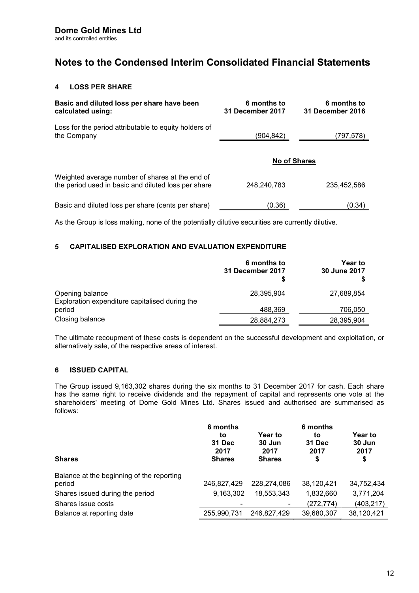### 4 LOSS PER SHARE

| Basic and diluted loss per share have been<br>calculated using:                                        | 6 months to<br><b>31 December 2017</b> | 6 months to<br>31 December 2016 |
|--------------------------------------------------------------------------------------------------------|----------------------------------------|---------------------------------|
| Loss for the period attributable to equity holders of<br>the Company                                   | (904,842)                              | (797,578)                       |
|                                                                                                        | <b>No of Shares</b>                    |                                 |
| Weighted average number of shares at the end of<br>the period used in basic and diluted loss per share | 248.240.783                            | 235.452.586                     |
| Basic and diluted loss per share (cents per share)                                                     | (0.36)                                 | (0.34)                          |

As the Group is loss making, none of the potentially dilutive securities are currently dilutive.

### 5 CAPITALISED EXPLORATION AND EVALUATION EXPENDITURE

|                                                                   | 6 months to<br>31 December 2017 | <b>Year to</b><br>30 June 2017 |
|-------------------------------------------------------------------|---------------------------------|--------------------------------|
| Opening balance<br>Exploration expenditure capitalised during the | 28,395,904                      | 27,689,854                     |
| period                                                            | 488,369                         | 706,050                        |
| Closing balance                                                   | 28,884,273                      | 28,395,904                     |

The ultimate recoupment of these costs is dependent on the successful development and exploitation, or alternatively sale, of the respective areas of interest.

### 6 ISSUED CAPITAL

The Group issued 9,163,302 shares during the six months to 31 December 2017 for cash. Each share has the same right to receive dividends and the repayment of capital and represents one vote at the shareholders' meeting of Dome Gold Mines Ltd. Shares issued and authorised are summarised as follows:

| <b>Shares</b>                                       | 6 months<br>to<br>31 Dec<br>2017<br><b>Shares</b> | <b>Year to</b><br>30 Jun<br>2017<br><b>Shares</b> | 6 months<br>to<br>31 Dec<br>2017<br>\$ | <b>Year to</b><br>30 Jun<br>2017<br>\$ |
|-----------------------------------------------------|---------------------------------------------------|---------------------------------------------------|----------------------------------------|----------------------------------------|
| Balance at the beginning of the reporting<br>period | 246,827,429                                       | 228.274.086                                       | 38,120,421                             | 34,752,434                             |
| Shares issued during the period                     | 9,163,302                                         | 18,553,343                                        | 1,832,660                              | 3,771,204                              |
| Shares issue costs                                  |                                                   |                                                   | (272, 774)                             | (403, 217)                             |
| Balance at reporting date                           | 255,990,731                                       | 246,827,429                                       | 39,680,307                             | 38,120,421                             |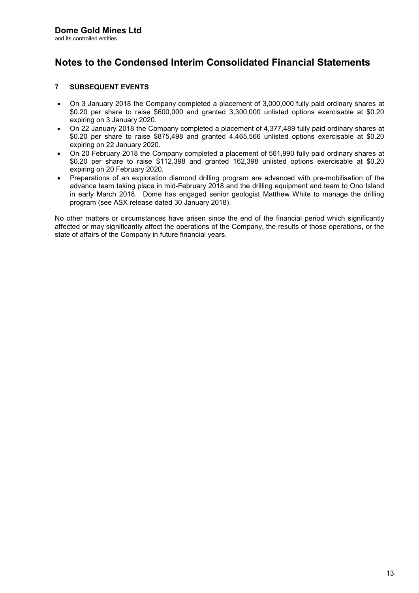### 7 SUBSEQUENT EVENTS

- On 3 January 2018 the Company completed a placement of 3,000,000 fully paid ordinary shares at \$0.20 per share to raise \$600,000 and granted 3,300,000 unlisted options exercisable at \$0.20 expiring on 3 January 2020.
- On 22 January 2018 the Company completed a placement of 4,377,489 fully paid ordinary shares at \$0.20 per share to raise \$875,498 and granted 4,465,566 unlisted options exercisable at \$0.20 expiring on 22 January 2020.
- On 20 February 2018 the Company completed a placement of 561,990 fully paid ordinary shares at \$0.20 per share to raise \$112,398 and granted 162,398 unlisted options exercisable at \$0.20 expiring on 20 February 2020.
- Preparations of an exploration diamond drilling program are advanced with pre-mobilisation of the advance team taking place in mid-February 2018 and the drilling equipment and team to Ono Island in early March 2018. Dome has engaged senior geologist Matthew White to manage the drilling program (see ASX release dated 30 January 2018).

No other matters or circumstances have arisen since the end of the financial period which significantly affected or may significantly affect the operations of the Company, the results of those operations, or the state of affairs of the Company in future financial years.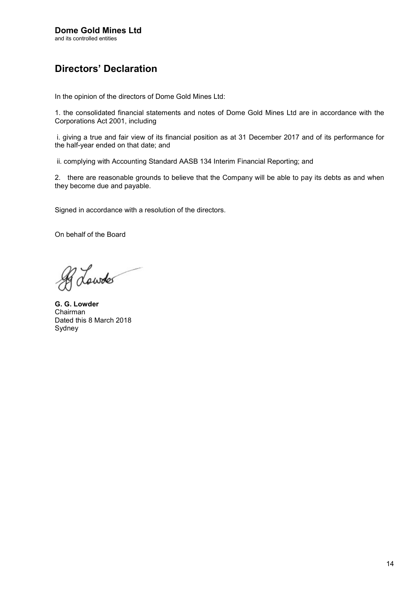# Directors' Declaration

In the opinion of the directors of Dome Gold Mines Ltd:

1. the consolidated financial statements and notes of Dome Gold Mines Ltd are in accordance with the Corporations Act 2001, including

 i. giving a true and fair view of its financial position as at 31 December 2017 and of its performance for the half-year ended on that date; and

ii. complying with Accounting Standard AASB 134 Interim Financial Reporting; and

2. there are reasonable grounds to believe that the Company will be able to pay its debts as and when they become due and payable.

Signed in accordance with a resolution of the directors.

On behalf of the Board

of Lowdes

G. G. Lowder Chairman Dated this 8 March 2018 Sydney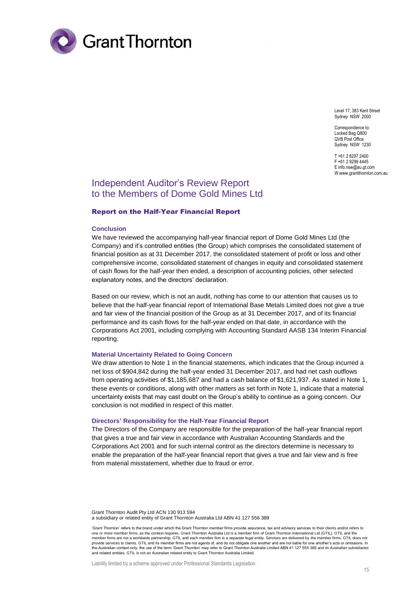

Level 17, 383 Kent Street Sydney NSW 2000

Correspondence to: Locked Bag Q800 QVB Post Office Sydney NSW 1230

T +61 2 8297 2400 F +61 2 9299 4445 E info.nsw@au.gt.com W www.grantthornton.com.au

### Independent Auditor's Review Report to the Members of Dome Gold Mines Ltd

#### Report on the Half-Year Financial Report

#### **Conclusion**

We have reviewed the accompanying half-year financial report of Dome Gold Mines Ltd (the Company) and it's controlled entities (the Group) which comprises the consolidated statement of financial position as at 31 December 2017, the consolidated statement of profit or loss and other comprehensive income, consolidated statement of changes in equity and consolidated statement of cash flows for the half-year then ended, a description of accounting policies, other selected explanatory notes, and the directors' declaration.

Based on our review, which is not an audit, nothing has come to our attention that causes us to believe that the half-year financial report of International Base Metals Limited does not give a true and fair view of the financial position of the Group as at 31 December 2017, and of its financial performance and its cash flows for the half-year ended on that date, in accordance with the Corporations Act 2001, including complying with Accounting Standard AASB 134 Interim Financial reporting.

#### **Material Uncertainty Related to Going Concern**

We draw attention to Note 1 in the financial statements, which indicates that the Group incurred a net loss of \$904,842 during the half-year ended 31 December 2017, and had net cash outflows from operating activities of \$1,185,687 and had a cash balance of \$1,621,937. As stated in Note 1, these events or conditions, along with other matters as set forth in Note 1, indicate that a material uncertainty exists that may cast doubt on the Group's ability to continue as a going concern. Our conclusion is not modified in respect of this matter.

#### **Directors' Responsibility for the Half-Year Financial Report**

The Directors of the Company are responsible for the preparation of the half-year financial report that gives a true and fair view in accordance with Australian Accounting Standards and the Corporations Act 2001 and for such internal control as the directors determine is necessary to enable the preparation of the half-year financial report that gives a true and fair view and is free from material misstatement, whether due to fraud or error.

Grant Thornton Audit Pty Ltd ACN 130 913 594 a subsidiary or related entity of Grant Thornton Australia Ltd ABN 41 127 556 389

<sup>&#</sup>x27;Grant Thornton' refers to the brand under which the Grant Thornton member firms provide assurance, tax and advisory services to their clients and/or refers to one or more member firms, as the context requires. Grant Thornton Australia Ltd is a member firm of Grant Thornton International Ltd (GTIL). GTIL and the member firms are not a worldwide partnership. GTIL and each member firm is a separate legal entity. Services are delivered by the member firms. GTIL does not provide services to clients. GTIL and its member firms are not agents of, and do not obligate one another and are not liable for one another's acts or omissions. In the Australian context only, the use of the term 'Grant Thornton' may refer to Grant Thornton Australia Limited ABN 41 127 556 389 and its Australian subsidiaries and related entities. GTIL is not an Australian related entity to Grant Thornton Australia Limited.